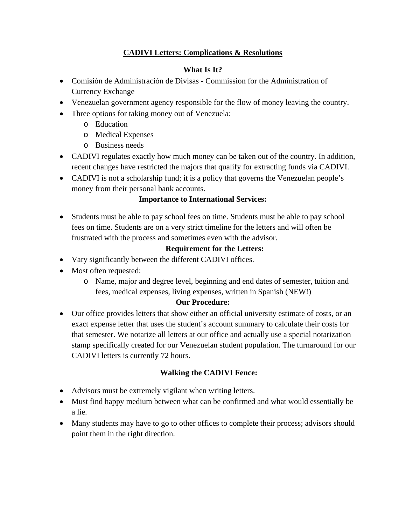# **CADIVI Letters: Complications & Resolutions**

## **What Is It?**

- Comisión de Administración de Divisas Commission for the Administration of Currency Exchange
- Venezuelan government agency responsible for the flow of money leaving the country.
- Three options for taking money out of Venezuela:
	- o Education
	- o Medical Expenses
	- o Business needs
- CADIVI regulates exactly how much money can be taken out of the country. In addition, recent changes have restricted the majors that qualify for extracting funds via CADIVI.
- CADIVI is not a scholarship fund; it is a policy that governs the Venezuelan people's money from their personal bank accounts.

### **Importance to International Services:**

 Students must be able to pay school fees on time. Students must be able to pay school fees on time. Students are on a very strict timeline for the letters and will often be frustrated with the process and sometimes even with the advisor.

### **Requirement for the Letters:**

- Vary significantly between the different CADIVI offices.
- Most often requested:
	- o Name, major and degree level, beginning and end dates of semester, tuition and fees, medical expenses, living expenses, written in Spanish (NEW!)

### **Our Procedure:**

 Our office provides letters that show either an official university estimate of costs, or an exact expense letter that uses the student's account summary to calculate their costs for that semester. We notarize all letters at our office and actually use a special notarization stamp specifically created for our Venezuelan student population. The turnaround for our CADIVI letters is currently 72 hours.

### **Walking the CADIVI Fence:**

- Advisors must be extremely vigilant when writing letters.
- Must find happy medium between what can be confirmed and what would essentially be a lie.
- Many students may have to go to other offices to complete their process; advisors should point them in the right direction.